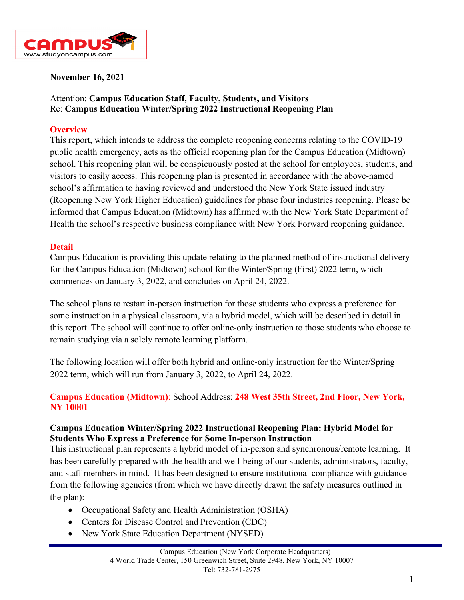

#### **November 16, 2021**

## Attention: **Campus Education Staff, Faculty, Students, and Visitors** Re: **Campus Education Winter/Spring 2022 Instructional Reopening Plan**

#### **Overview**

This report, which intends to address the complete reopening concerns relating to the COVID-19 public health emergency, acts as the official reopening plan for the Campus Education (Midtown) school. This reopening plan will be conspicuously posted at the school for employees, students, and visitors to easily access. This reopening plan is presented in accordance with the above-named school's affirmation to having reviewed and understood the New York State issued industry (Reopening New York Higher Education) guidelines for phase four industries reopening. Please be informed that Campus Education (Midtown) has affirmed with the New York State Department of Health the school's respective business compliance with New York Forward reopening guidance.

#### **Detail**

Campus Education is providing this update relating to the planned method of instructional delivery for the Campus Education (Midtown) school for the Winter/Spring (First) 2022 term, which commences on January 3, 2022, and concludes on April 24, 2022.

The school plans to restart in-person instruction for those students who express a preference for some instruction in a physical classroom, via a hybrid model, which will be described in detail in this report. The school will continue to offer online-only instruction to those students who choose to remain studying via a solely remote learning platform.

The following location will offer both hybrid and online-only instruction for the Winter/Spring 2022 term, which will run from January 3, 2022, to April 24, 2022.

## **Campus Education (Midtown)**: School Address: **248 West 35th Street, 2nd Floor, New York, NY 10001**

#### **Campus Education Winter/Spring 2022 Instructional Reopening Plan: Hybrid Model for Students Who Express a Preference for Some In-person Instruction**

This instructional plan represents a hybrid model of in-person and synchronous/remote learning. It has been carefully prepared with the health and well-being of our students, administrators, faculty, and staff members in mind. It has been designed to ensure institutional compliance with guidance from the following agencies (from which we have directly drawn the safety measures outlined in the plan):

- Occupational Safety and Health Administration (OSHA)
- Centers for Disease Control and Prevention (CDC)
- New York State Education Department (NYSED)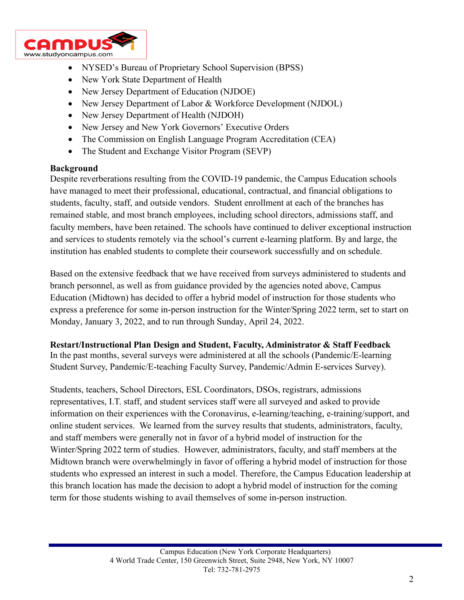

- NYSED's Bureau of Proprietary School Supervision (BPSS)
- New York State Department of Health
- New Jersey Department of Education (NJDOE)
- New Jersey Department of Labor & Workforce Development (NJDOL)
- New Jersey Department of Health (NJDOH)
- New Jersey and New York Governors' Executive Orders
- The Commission on English Language Program Accreditation (CEA)
- The Student and Exchange Visitor Program (SEVP)

#### **Background**

Despite reverberations resulting from the COVID-19 pandemic, the Campus Education schools have managed to meet their professional, educational, contractual, and financial obligations to students, faculty, staff, and outside vendors. Student enrollment at each of the branches has remained stable, and most branch employees, including school directors, admissions staff, and faculty members, have been retained. The schools have continued to deliver exceptional instruction and services to students remotely via the school's current e-learning platform. By and large, the institution has enabled students to complete their coursework successfully and on schedule.

Based on the extensive feedback that we have received from surveys administered to students and branch personnel, as well as from guidance provided by the agencies noted above, Campus Education (Midtown) has decided to offer a hybrid model of instruction for those students who express a preference for some in-person instruction for the Winter/Spring 2022 term, set to start on Monday, January 3, 2022, and to run through Sunday, April 24, 2022.

#### **Restart/Instructional Plan Design and Student, Faculty, Administrator & Staff Feedback**

In the past months, several surveys were administered at all the schools (Pandemic/E-learning Student Survey, Pandemic/E-teaching Faculty Survey, Pandemic/Admin E-services Survey).

Students, teachers, School Directors, ESL Coordinators, DSOs, registrars, admissions representatives, I.T. staff, and student services staff were all surveyed and asked to provide information on their experiences with the Coronavirus, e-learning/teaching, e-training/support, and online student services. We learned from the survey results that students, administrators, faculty, and staff members were generally not in favor of a hybrid model of instruction for the Winter/Spring 2022 term of studies. However, administrators, faculty, and staff members at the Midtown branch were overwhelmingly in favor of offering a hybrid model of instruction for those students who expressed an interest in such a model. Therefore, the Campus Education leadership at this branch location has made the decision to adopt a hybrid model of instruction for the coming term for those students wishing to avail themselves of some in-person instruction.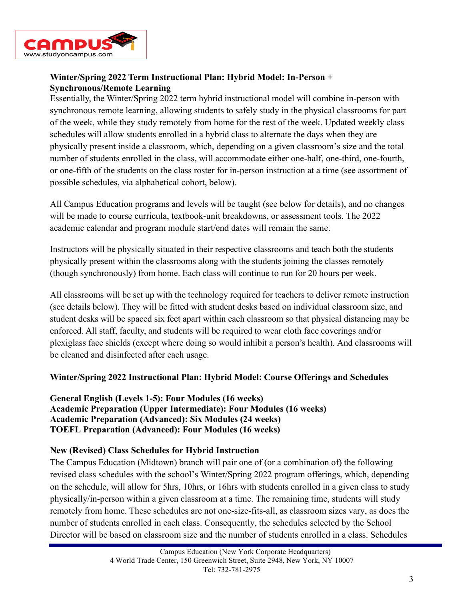

## **Winter/Spring 2022 Term Instructional Plan: Hybrid Model: In-Person + Synchronous/Remote Learning**

Essentially, the Winter/Spring 2022 term hybrid instructional model will combine in-person with synchronous remote learning, allowing students to safely study in the physical classrooms for part of the week, while they study remotely from home for the rest of the week. Updated weekly class schedules will allow students enrolled in a hybrid class to alternate the days when they are physically present inside a classroom, which, depending on a given classroom's size and the total number of students enrolled in the class, will accommodate either one-half, one-third, one-fourth, or one-fifth of the students on the class roster for in-person instruction at a time (see assortment of possible schedules, via alphabetical cohort, below).

All Campus Education programs and levels will be taught (see below for details), and no changes will be made to course curricula, textbook-unit breakdowns, or assessment tools. The 2022 academic calendar and program module start/end dates will remain the same.

Instructors will be physically situated in their respective classrooms and teach both the students physically present within the classrooms along with the students joining the classes remotely (though synchronously) from home. Each class will continue to run for 20 hours per week.

All classrooms will be set up with the technology required for teachers to deliver remote instruction (see details below). They will be fitted with student desks based on individual classroom size, and student desks will be spaced six feet apart within each classroom so that physical distancing may be enforced. All staff, faculty, and students will be required to wear cloth face coverings and/or plexiglass face shields (except where doing so would inhibit a person's health). And classrooms will be cleaned and disinfected after each usage.

#### **Winter/Spring 2022 Instructional Plan: Hybrid Model: Course Offerings and Schedules**

**General English (Levels 1-5): Four Modules (16 weeks) Academic Preparation (Upper Intermediate): Four Modules (16 weeks) Academic Preparation (Advanced): Six Modules (24 weeks) TOEFL Preparation (Advanced): Four Modules (16 weeks)**

#### **New (Revised) Class Schedules for Hybrid Instruction**

The Campus Education (Midtown) branch will pair one of (or a combination of) the following revised class schedules with the school's Winter/Spring 2022 program offerings, which, depending on the schedule, will allow for 5hrs, 10hrs, or 16hrs with students enrolled in a given class to study physically/in-person within a given classroom at a time. The remaining time, students will study remotely from home. These schedules are not one-size-fits-all, as classroom sizes vary, as does the number of students enrolled in each class. Consequently, the schedules selected by the School Director will be based on classroom size and the number of students enrolled in a class. Schedules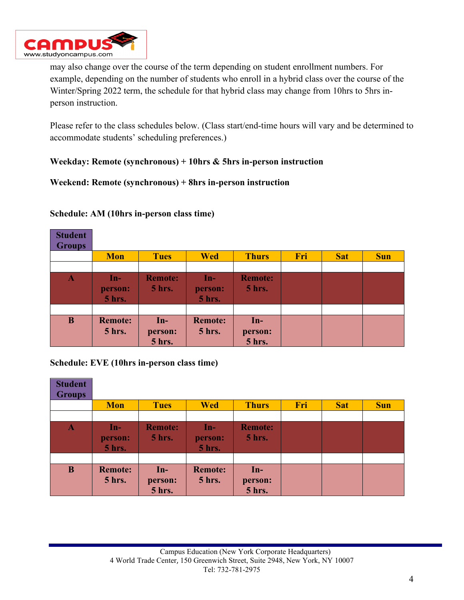

may also change over the course of the term depending on student enrollment numbers. For example, depending on the number of students who enroll in a hybrid class over the course of the Winter/Spring 2022 term, the schedule for that hybrid class may change from 10hrs to 5hrs inperson instruction.

Please refer to the class schedules below. (Class start/end-time hours will vary and be determined to accommodate students' scheduling preferences.)

## **Weekday: Remote (synchronous) + 10hrs & 5hrs in-person instruction**

#### **Weekend: Remote (synchronous) + 8hrs in-person instruction**

| <b>Student</b><br><b>Groups</b> |                                  |                                   |                                   |                            |     |            |            |
|---------------------------------|----------------------------------|-----------------------------------|-----------------------------------|----------------------------|-----|------------|------------|
|                                 | <b>Mon</b>                       | <b>Tues</b>                       | <b>Wed</b>                        | <b>Thurs</b>               | Fri | <b>Sat</b> | <b>Sun</b> |
|                                 |                                  |                                   |                                   |                            |     |            |            |
| $\mathbf A$                     | An-7<br>person:<br><b>5 hrs.</b> | <b>Remote:</b><br><b>5 hrs.</b>   | $In-$<br>person:<br><b>5 hrs.</b> | <b>Remote:</b><br>5 hrs.   |     |            |            |
|                                 |                                  |                                   |                                   |                            |     |            |            |
| $\bf{B}$                        | <b>Remote:</b><br><b>5 hrs.</b>  | $In-$<br>person:<br><b>5 hrs.</b> | <b>Remote:</b><br><b>5 hrs.</b>   | $In-$<br>person:<br>5 hrs. |     |            |            |

#### **Schedule: AM (10hrs in-person class time)**

**Schedule: EVE (10hrs in-person class time)**

| <b>Student</b><br><b>Groups</b> |                                 |                                 |                                   |                                   |     |            |            |
|---------------------------------|---------------------------------|---------------------------------|-----------------------------------|-----------------------------------|-----|------------|------------|
|                                 | <b>Mon</b>                      | <b>Tues</b>                     | <b>Wed</b>                        | <b>Thurs</b>                      | Fri | <b>Sat</b> | <b>Sun</b> |
|                                 |                                 |                                 |                                   |                                   |     |            |            |
| A                               | $\ln$ -<br>person:<br>5 hrs.    | <b>Remote:</b><br><b>5 hrs.</b> | $In-$<br>person:<br><b>5 hrs.</b> | <b>Remote:</b><br><b>5 hrs.</b>   |     |            |            |
|                                 |                                 |                                 |                                   |                                   |     |            |            |
| $\bf{B}$                        | <b>Remote:</b><br><b>5 hrs.</b> | $In-$<br>person:<br>5 hrs.      | <b>Remote:</b><br><b>5 hrs.</b>   | $In-$<br>person:<br><b>5 hrs.</b> |     |            |            |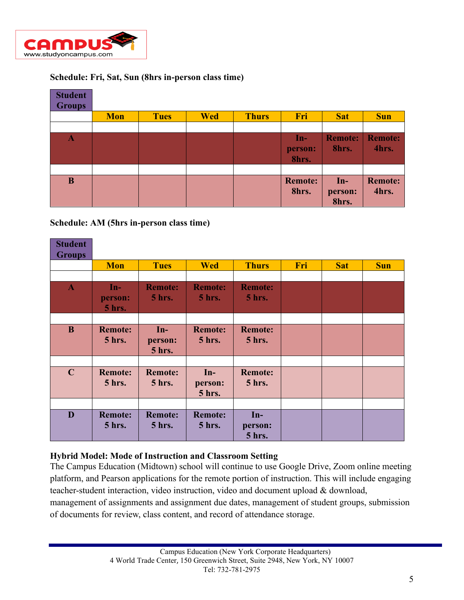

## **Schedule: Fri, Sat, Sun (8hrs in-person class time)**

| <b>Student</b><br><b>Groups</b> |            |             |            |              |                           |                           |                         |
|---------------------------------|------------|-------------|------------|--------------|---------------------------|---------------------------|-------------------------|
|                                 | <b>Mon</b> | <b>Tues</b> | <b>Wed</b> | <b>Thurs</b> | Fri                       | <b>Sat</b>                | <b>Sun</b>              |
|                                 |            |             |            |              |                           |                           |                         |
| $\mathbf A$                     |            |             |            |              | $In-$<br>person:<br>8hrs. | <b>Remote:</b><br>8hrs.   | <b>Remote:</b><br>4hrs. |
|                                 |            |             |            |              |                           |                           |                         |
| B                               |            |             |            |              | <b>Remote:</b><br>8hrs.   | $In-$<br>person:<br>8hrs. | <b>Remote:</b><br>4hrs. |

**Schedule: AM (5hrs in-person class time)**

| <b>Student</b><br><b>Groups</b> |                                   |                                   |                                   |                                 |     |            |            |
|---------------------------------|-----------------------------------|-----------------------------------|-----------------------------------|---------------------------------|-----|------------|------------|
|                                 | <b>Mon</b>                        | <b>Tues</b>                       | <b>Wed</b>                        | <b>Thurs</b>                    | Fri | <b>Sat</b> | <b>Sun</b> |
|                                 |                                   |                                   |                                   |                                 |     |            |            |
| $\mathbf{A}$                    | $In-$<br>person:<br><b>5 hrs.</b> | <b>Remote:</b><br><b>5 hrs.</b>   | <b>Remote:</b><br><b>5 hrs.</b>   | <b>Remote:</b><br><b>5 hrs.</b> |     |            |            |
|                                 |                                   |                                   |                                   |                                 |     |            |            |
| $\bf{B}$                        | <b>Remote:</b><br><b>5 hrs.</b>   | $In-$<br>person:<br><b>5 hrs.</b> | <b>Remote:</b><br>5 hrs.          | <b>Remote:</b><br><b>5</b> hrs. |     |            |            |
| $\mathbf C$                     | <b>Remote:</b><br><b>5 hrs.</b>   | <b>Remote:</b><br><b>5 hrs.</b>   | $In-$<br>person:<br><b>5 hrs.</b> | <b>Remote:</b><br><b>5 hrs.</b> |     |            |            |
|                                 |                                   |                                   |                                   |                                 |     |            |            |
| D                               | <b>Remote:</b><br><b>5 hrs.</b>   | <b>Remote:</b><br><b>5 hrs.</b>   | <b>Remote:</b><br><b>5 hrs.</b>   | $In-$<br>person:<br>5 hrs.      |     |            |            |

#### **Hybrid Model: Mode of Instruction and Classroom Setting**

The Campus Education (Midtown) school will continue to use Google Drive, Zoom online meeting platform, and Pearson applications for the remote portion of instruction. This will include engaging teacher-student interaction, video instruction, video and document upload & download,

management of assignments and assignment due dates, management of student groups, submission of documents for review, class content, and record of attendance storage.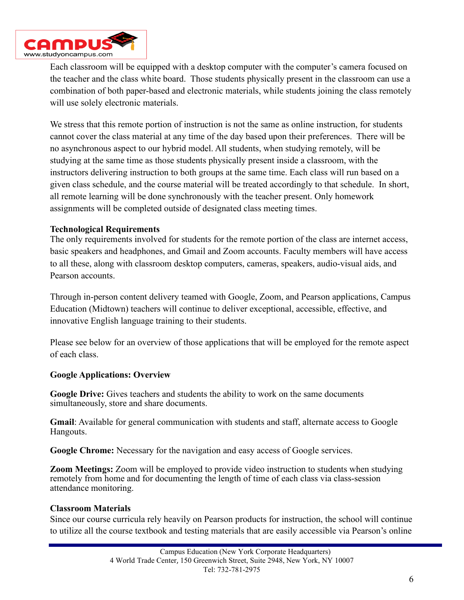

Each classroom will be equipped with a desktop computer with the computer's camera focused on the teacher and the class white board. Those students physically present in the classroom can use a combination of both paper-based and electronic materials, while students joining the class remotely will use solely electronic materials.

We stress that this remote portion of instruction is not the same as online instruction, for students cannot cover the class material at any time of the day based upon their preferences. There will be no asynchronous aspect to our hybrid model. All students, when studying remotely, will be studying at the same time as those students physically present inside a classroom, with the instructors delivering instruction to both groups at the same time. Each class will run based on a given class schedule, and the course material will be treated accordingly to that schedule. In short, all remote learning will be done synchronously with the teacher present. Only homework assignments will be completed outside of designated class meeting times.

#### **Technological Requirements**

The only requirements involved for students for the remote portion of the class are internet access, basic speakers and headphones, and Gmail and Zoom accounts. Faculty members will have access to all these, along with classroom desktop computers, cameras, speakers, audio-visual aids, and Pearson accounts.

Through in-person content delivery teamed with Google, Zoom, and Pearson applications, Campus Education (Midtown) teachers will continue to deliver exceptional, accessible, effective, and innovative English language training to their students.

Please see below for an overview of those applications that will be employed for the remote aspect of each class.

#### **Google Applications: Overview**

**Google Drive:** Gives teachers and students the ability to work on the same documents simultaneously, store and share documents.

**Gmail**: Available for general communication with students and staff, alternate access to Google Hangouts.

**Google Chrome:** Necessary for the navigation and easy access of Google services.

**Zoom Meetings:** Zoom will be employed to provide video instruction to students when studying remotely from home and for documenting the length of time of each class via class-session attendance monitoring.

#### **Classroom Materials**

Since our course curricula rely heavily on Pearson products for instruction, the school will continue to utilize all the course textbook and testing materials that are easily accessible via Pearson's online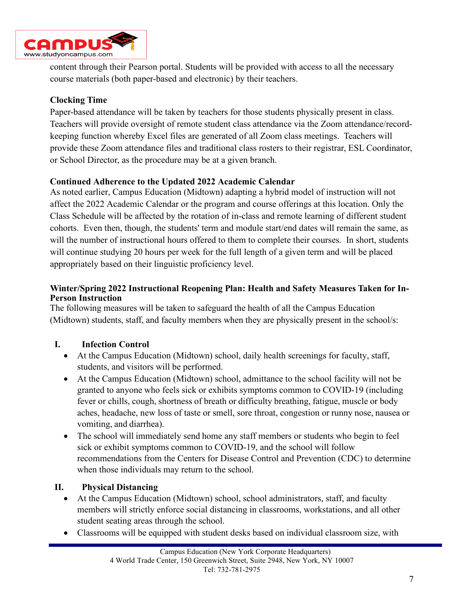

content through their Pearson portal. Students will be provided with access to all the necessary course materials (both paper-based and electronic) by their teachers.

## **Clocking Time**

Paper-based attendance will be taken by teachers for those students physically present in class. Teachers will provide oversight of remote student class attendance via the Zoom attendance/recordkeeping function whereby Excel files are generated of all Zoom class meetings. Teachers will provide these Zoom attendance files and traditional class rosters to their registrar, ESL Coordinator, or School Director, as the procedure may be at a given branch.

## **Continued Adherence to the Updated 2022 Academic Calendar**

As noted earlier, Campus Education (Midtown) adapting a hybrid model of instruction will not affect the 2022 Academic Calendar or the program and course offerings at this location. Only the Class Schedule will be affected by the rotation of in-class and remote learning of different student cohorts. Even then, though, the students' term and module start/end dates will remain the same, as will the number of instructional hours offered to them to complete their courses. In short, students will continue studying 20 hours per week for the full length of a given term and will be placed appropriately based on their linguistic proficiency level.

## **Winter/Spring 2022 Instructional Reopening Plan: Health and Safety Measures Taken for In-Person Instruction**

The following measures will be taken to safeguard the health of all the Campus Education (Midtown) students, staff, and faculty members when they are physically present in the school/s:

# **I. Infection Control**

- At the Campus Education (Midtown) school, daily [health screenings f](https://www.cdc.gov/coronavirus/2019-ncov/community/guidance-business-response.html)or faculty, staff, students, and visitors will be performed.
- At the Campus Education (Midtown) school, admittance to the school facility will not be granted to anyone who feels sick or exhibits symptoms common to COVID-19 (including fever or chills, cough, shortness of breath or difficulty breathing, fatigue, muscle or body aches, headache, new loss of taste or smell, sore throat, congestion or runny nose, nausea or vomiting, and diarrhea).
- The school will immediately send home any staff members or students who begin to feel sick or exhibit symptoms common to COVID-19, and the school will follow recommendations from the Centers for Disease Control and Prevention (CDC) to determine when those individuals may return to the school.

# **II. Physical Distancing**

- At the Campus Education (Midtown) school, school administrators, staff, and faculty members will strictly enforce social distancing in classrooms, workstations, and all other student seating areas through the school.
- Classrooms will be equipped with student desks based on individual classroom size, with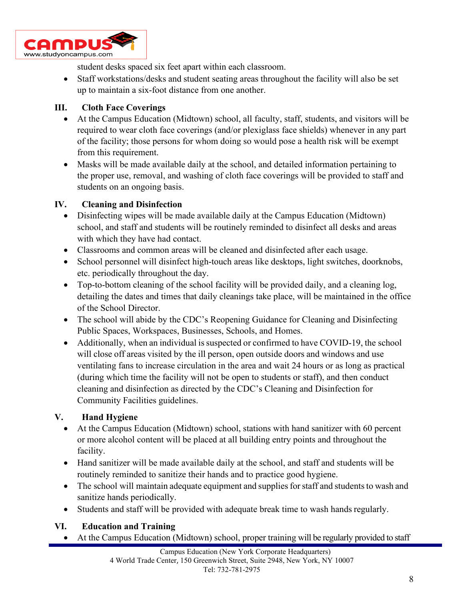

student desks spaced six feet apart within each classroom.

• Staff workstations/desks and student seating areas throughout the facility will also be set up to maintain a six-foot distance from one another.

## **III. Cloth Face Coverings**

- At the Campus Education (Midtown) school, all faculty, staff, students, and visitors will be required to wear cloth face coverings (and/or plexiglass face shields) whenever in any part of the facility; those persons for whom doing so would pose a health risk will be exempt from this requirement.
- Masks will be made available daily at the school, and detailed information pertaining to the proper use, removal, and washing of cloth face coverings will be provided to staff and students on an ongoing basis.

## **IV. Cleaning and Disinfection**

- Disinfecting wipes will be made available daily at the Campus Education (Midtown) school, and staff and students will be routinely reminded to disinfect all desks and areas with which they have had contact.
- Classrooms and common areas will be cleaned and disinfected after each usage.
- School personnel will disinfect high-touch areas like desktops, light switches, doorknobs, etc. periodically throughout the day.
- Top-to-bottom cleaning of the school facility will be provided daily, and a cleaning log, detailing the dates and times that daily cleanings take place, will be maintained in the office of the School Director.
- The school will abide by the CDC's Reopening Guidance for Cleaning and Disinfecting [Public Spaces,](https://www.cdc.gov/coronavirus/2019-ncov/community/reopen-guidance.html) [Workspaces, Businesses, Schools, and Homes.](https://www.cdc.gov/coronavirus/2019-ncov/community/reopen-guidance.html)
- Additionally, when an individual is suspected or confirmed to have COVID-19, the school will close off areas visited by the ill person, open outside doors and windows and use ventilating fans to increase circulation in the area and wait 24 hours or as long as practical (during which time the facility will not be open to students or staff), and then conduct cleaning and disinfection as directed by the CDC's Cleaning and Disinfection for Community Facilities guidelines.

## **V. Hand Hygiene**

- At the Campus Education (Midtown) school, stations with hand sanitizer with 60 percent or more alcohol content will be placed at all building entry points and throughout the facility.
- Hand sanitizer will be made available daily at the school, and staff and students will be routinely reminded to sanitize their hands and to practice good hygiene.
- The school will maintain adequate equipment and supplies for staff and students to wash and sanitize hands periodically.
- Students and staff will be provided with adequate break time to wash hands regularly.

## **VI. Education and Training**

• At the Campus Education (Midtown) school, proper training will be regularly provided to staff